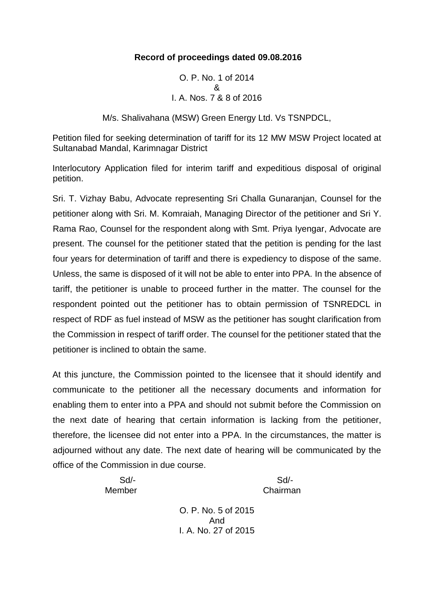#### **Record of proceedings dated 09.08.2016**

O. P. No. 1 of 2014 & I. A. Nos. 7 & 8 of 2016

M/s. Shalivahana (MSW) Green Energy Ltd. Vs TSNPDCL,

Petition filed for seeking determination of tariff for its 12 MW MSW Project located at Sultanabad Mandal, Karimnagar District

Interlocutory Application filed for interim tariff and expeditious disposal of original petition.

Sri. T. Vizhay Babu, Advocate representing Sri Challa Gunaranjan, Counsel for the petitioner along with Sri. M. Komraiah, Managing Director of the petitioner and Sri Y. Rama Rao, Counsel for the respondent along with Smt. Priya Iyengar, Advocate are present. The counsel for the petitioner stated that the petition is pending for the last four years for determination of tariff and there is expediency to dispose of the same. Unless, the same is disposed of it will not be able to enter into PPA. In the absence of tariff, the petitioner is unable to proceed further in the matter. The counsel for the respondent pointed out the petitioner has to obtain permission of TSNREDCL in respect of RDF as fuel instead of MSW as the petitioner has sought clarification from the Commission in respect of tariff order. The counsel for the petitioner stated that the petitioner is inclined to obtain the same.

At this juncture, the Commission pointed to the licensee that it should identify and communicate to the petitioner all the necessary documents and information for enabling them to enter into a PPA and should not submit before the Commission on the next date of hearing that certain information is lacking from the petitioner, therefore, the licensee did not enter into a PPA. In the circumstances, the matter is adjourned without any date. The next date of hearing will be communicated by the office of the Commission in due course.

Sd/- Sd/-

Member Chairman

O. P. No. 5 of 2015 And I. A. No. 27 of 2015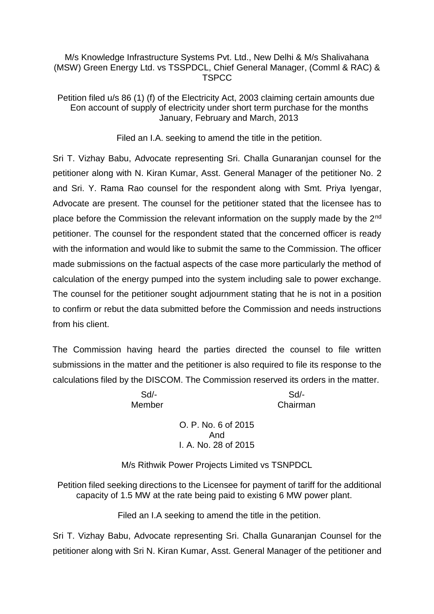#### M/s Knowledge Infrastructure Systems Pvt. Ltd., New Delhi & M/s Shalivahana (MSW) Green Energy Ltd. vs TSSPDCL, Chief General Manager, (Comml & RAC) & **TSPCC**

Petition filed u/s 86 (1) (f) of the Electricity Act, 2003 claiming certain amounts due Eon account of supply of electricity under short term purchase for the months January, February and March, 2013

Filed an I.A. seeking to amend the title in the petition.

Sri T. Vizhay Babu, Advocate representing Sri. Challa Gunaranjan counsel for the petitioner along with N. Kiran Kumar, Asst. General Manager of the petitioner No. 2 and Sri. Y. Rama Rao counsel for the respondent along with Smt. Priya Iyengar, Advocate are present. The counsel for the petitioner stated that the licensee has to place before the Commission the relevant information on the supply made by the 2nd petitioner. The counsel for the respondent stated that the concerned officer is ready with the information and would like to submit the same to the Commission. The officer made submissions on the factual aspects of the case more particularly the method of calculation of the energy pumped into the system including sale to power exchange. The counsel for the petitioner sought adjournment stating that he is not in a position to confirm or rebut the data submitted before the Commission and needs instructions from his client.

The Commission having heard the parties directed the counsel to file written submissions in the matter and the petitioner is also required to file its response to the calculations filed by the DISCOM. The Commission reserved its orders in the matter.

Sd/- Sd/-

Member Chairman

O. P. No. 6 of 2015 And I. A. No. 28 of 2015

M/s Rithwik Power Projects Limited vs TSNPDCL

Petition filed seeking directions to the Licensee for payment of tariff for the additional capacity of 1.5 MW at the rate being paid to existing 6 MW power plant.

Filed an I.A seeking to amend the title in the petition.

Sri T. Vizhay Babu, Advocate representing Sri. Challa Gunaranjan Counsel for the petitioner along with Sri N. Kiran Kumar, Asst. General Manager of the petitioner and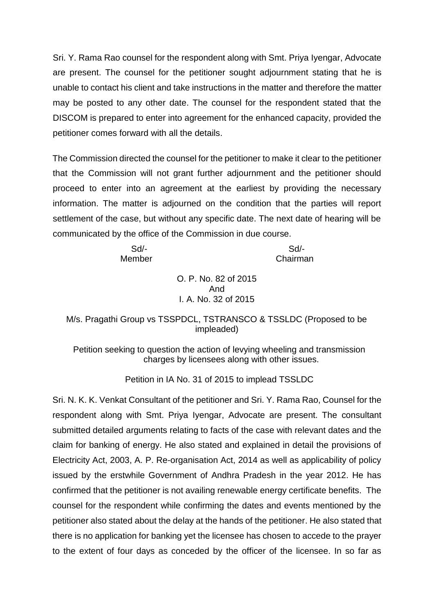Sri. Y. Rama Rao counsel for the respondent along with Smt. Priya Iyengar, Advocate are present. The counsel for the petitioner sought adjournment stating that he is unable to contact his client and take instructions in the matter and therefore the matter may be posted to any other date. The counsel for the respondent stated that the DISCOM is prepared to enter into agreement for the enhanced capacity, provided the petitioner comes forward with all the details.

The Commission directed the counsel for the petitioner to make it clear to the petitioner that the Commission will not grant further adjournment and the petitioner should proceed to enter into an agreement at the earliest by providing the necessary information. The matter is adjourned on the condition that the parties will report settlement of the case, but without any specific date. The next date of hearing will be communicated by the office of the Commission in due course.

Sd/- Sd/- Member Chairman

> O. P. No. 82 of 2015 And I. A. No. 32 of 2015

## M/s. Pragathi Group vs TSSPDCL, TSTRANSCO & TSSLDC (Proposed to be impleaded)

Petition seeking to question the action of levying wheeling and transmission charges by licensees along with other issues.

Petition in IA No. 31 of 2015 to implead TSSLDC

Sri. N. K. K. Venkat Consultant of the petitioner and Sri. Y. Rama Rao, Counsel for the respondent along with Smt. Priya Iyengar, Advocate are present. The consultant submitted detailed arguments relating to facts of the case with relevant dates and the claim for banking of energy. He also stated and explained in detail the provisions of Electricity Act, 2003, A. P. Re-organisation Act, 2014 as well as applicability of policy issued by the erstwhile Government of Andhra Pradesh in the year 2012. He has confirmed that the petitioner is not availing renewable energy certificate benefits. The counsel for the respondent while confirming the dates and events mentioned by the petitioner also stated about the delay at the hands of the petitioner. He also stated that there is no application for banking yet the licensee has chosen to accede to the prayer to the extent of four days as conceded by the officer of the licensee. In so far as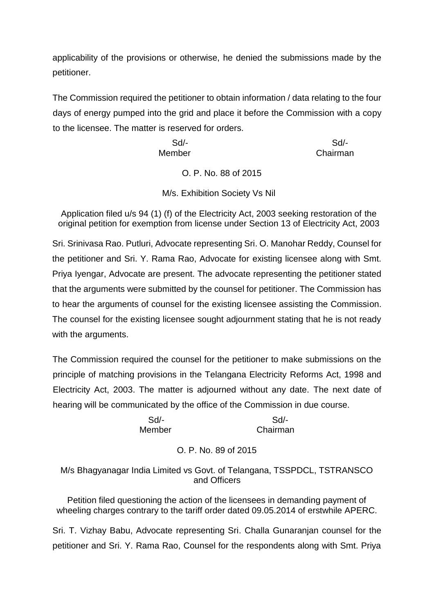applicability of the provisions or otherwise, he denied the submissions made by the petitioner.

The Commission required the petitioner to obtain information / data relating to the four days of energy pumped into the grid and place it before the Commission with a copy to the licensee. The matter is reserved for orders.

> Sd/- Sd/- Member **Chairman**

> > O. P. No. 88 of 2015

M/s. Exhibition Society Vs Nil

Application filed u/s 94 (1) (f) of the Electricity Act, 2003 seeking restoration of the original petition for exemption from license under Section 13 of Electricity Act, 2003

Sri. Srinivasa Rao. Putluri, Advocate representing Sri. O. Manohar Reddy, Counsel for the petitioner and Sri. Y. Rama Rao, Advocate for existing licensee along with Smt. Priya Iyengar, Advocate are present. The advocate representing the petitioner stated that the arguments were submitted by the counsel for petitioner. The Commission has to hear the arguments of counsel for the existing licensee assisting the Commission. The counsel for the existing licensee sought adjournment stating that he is not ready with the arguments.

The Commission required the counsel for the petitioner to make submissions on the principle of matching provisions in the Telangana Electricity Reforms Act, 1998 and Electricity Act, 2003. The matter is adjourned without any date. The next date of hearing will be communicated by the office of the Commission in due course.

 Sd/- Sd/- Member Chairman

## O. P. No. 89 of 2015

M/s Bhagyanagar India Limited vs Govt. of Telangana, TSSPDCL, TSTRANSCO and Officers

Petition filed questioning the action of the licensees in demanding payment of wheeling charges contrary to the tariff order dated 09.05.2014 of erstwhile APERC.

Sri. T. Vizhay Babu, Advocate representing Sri. Challa Gunaranjan counsel for the petitioner and Sri. Y. Rama Rao, Counsel for the respondents along with Smt. Priya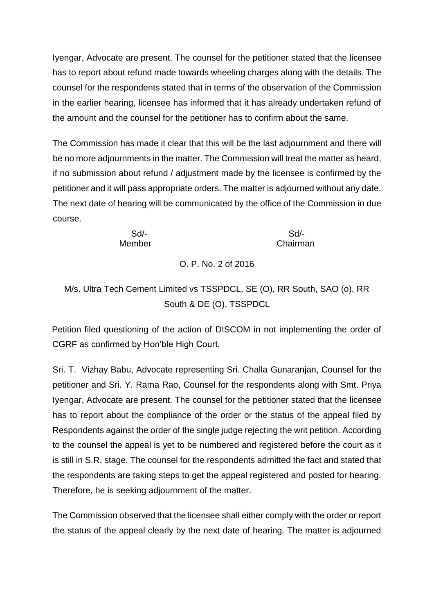Iyengar, Advocate are present. The counsel for the petitioner stated that the licensee has to report about refund made towards wheeling charges along with the details. The counsel for the respondents stated that in terms of the observation of the Commission in the earlier hearing, licensee has informed that it has already undertaken refund of the amount and the counsel for the petitioner has to confirm about the same.

The Commission has made it clear that this will be the last adjournment and there will be no more adjournments in the matter. The Commission will treat the matter as heard, if no submission about refund / adjustment made by the licensee is confirmed by the petitioner and it will pass appropriate orders. The matter is adjourned without any date. The next date of hearing will be communicated by the office of the Commission in due course.

Sd/- Sd/- Member Chairman

# O. P. No. 2 of 2016

M/s. Ultra Tech Cement Limited vs TSSPDCL, SE (O), RR South, SAO (o), RR South & DE (O), TSSPDCL

Petition filed questioning of the action of DISCOM in not implementing the order of CGRF as confirmed by Hon'ble High Court.

Sri. T. Vizhay Babu, Advocate representing Sri. Challa Gunaranjan, Counsel for the petitioner and Sri. Y. Rama Rao, Counsel for the respondents along with Smt. Priya Iyengar, Advocate are present. The counsel for the petitioner stated that the licensee has to report about the compliance of the order or the status of the appeal filed by Respondents against the order of the single judge rejecting the writ petition. According to the counsel the appeal is yet to be numbered and registered before the court as it is still in S.R. stage. The counsel for the respondents admitted the fact and stated that the respondents are taking steps to get the appeal registered and posted for hearing. Therefore, he is seeking adjournment of the matter.

The Commission observed that the licensee shall either comply with the order or report the status of the appeal clearly by the next date of hearing. The matter is adjourned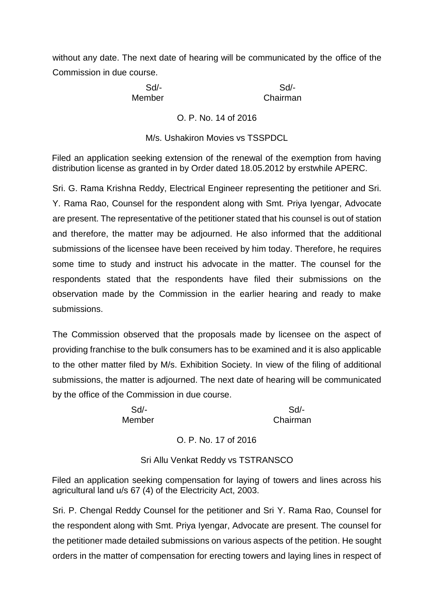without any date. The next date of hearing will be communicated by the office of the Commission in due course.

Sd/- Sd/-

Member Chairman

O. P. No. 14 of 2016

M/s. Ushakiron Movies vs TSSPDCL

Filed an application seeking extension of the renewal of the exemption from having distribution license as granted in by Order dated 18.05.2012 by erstwhile APERC.

Sri. G. Rama Krishna Reddy, Electrical Engineer representing the petitioner and Sri. Y. Rama Rao, Counsel for the respondent along with Smt. Priya Iyengar, Advocate are present. The representative of the petitioner stated that his counsel is out of station and therefore, the matter may be adjourned. He also informed that the additional submissions of the licensee have been received by him today. Therefore, he requires some time to study and instruct his advocate in the matter. The counsel for the respondents stated that the respondents have filed their submissions on the observation made by the Commission in the earlier hearing and ready to make submissions.

The Commission observed that the proposals made by licensee on the aspect of providing franchise to the bulk consumers has to be examined and it is also applicable to the other matter filed by M/s. Exhibition Society. In view of the filing of additional submissions, the matter is adjourned. The next date of hearing will be communicated by the office of the Commission in due course.

Sd/- Sd/- Member Chairman

O. P. No. 17 of 2016

Sri Allu Venkat Reddy vs TSTRANSCO

Filed an application seeking compensation for laying of towers and lines across his agricultural land u/s 67 (4) of the Electricity Act, 2003.

Sri. P. Chengal Reddy Counsel for the petitioner and Sri Y. Rama Rao, Counsel for the respondent along with Smt. Priya Iyengar, Advocate are present. The counsel for the petitioner made detailed submissions on various aspects of the petition. He sought orders in the matter of compensation for erecting towers and laying lines in respect of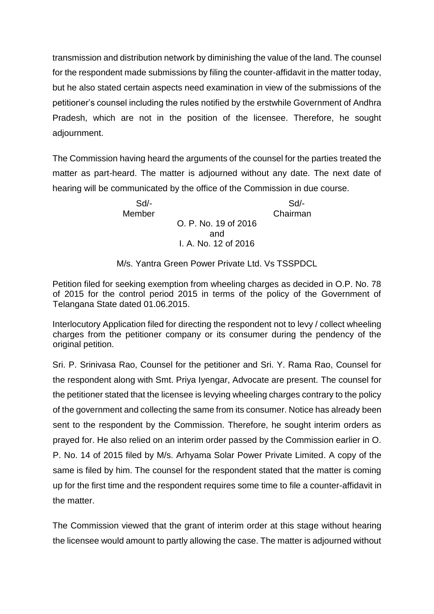transmission and distribution network by diminishing the value of the land. The counsel for the respondent made submissions by filing the counter-affidavit in the matter today, but he also stated certain aspects need examination in view of the submissions of the petitioner's counsel including the rules notified by the erstwhile Government of Andhra Pradesh, which are not in the position of the licensee. Therefore, he sought adjournment.

The Commission having heard the arguments of the counsel for the parties treated the matter as part-heard. The matter is adjourned without any date. The next date of hearing will be communicated by the office of the Commission in due course.

> Sd/- Sd/- Member Chairman O. P. No. 19 of 2016 and I. A. No. 12 of 2016

M/s. Yantra Green Power Private Ltd. Vs TSSPDCL

Petition filed for seeking exemption from wheeling charges as decided in O.P. No. 78 of 2015 for the control period 2015 in terms of the policy of the Government of Telangana State dated 01.06.2015.

Interlocutory Application filed for directing the respondent not to levy / collect wheeling charges from the petitioner company or its consumer during the pendency of the original petition.

Sri. P. Srinivasa Rao, Counsel for the petitioner and Sri. Y. Rama Rao, Counsel for the respondent along with Smt. Priya Iyengar, Advocate are present. The counsel for the petitioner stated that the licensee is levying wheeling charges contrary to the policy of the government and collecting the same from its consumer. Notice has already been sent to the respondent by the Commission. Therefore, he sought interim orders as prayed for. He also relied on an interim order passed by the Commission earlier in O. P. No. 14 of 2015 filed by M/s. Arhyama Solar Power Private Limited. A copy of the same is filed by him. The counsel for the respondent stated that the matter is coming up for the first time and the respondent requires some time to file a counter-affidavit in the matter.

The Commission viewed that the grant of interim order at this stage without hearing the licensee would amount to partly allowing the case. The matter is adjourned without